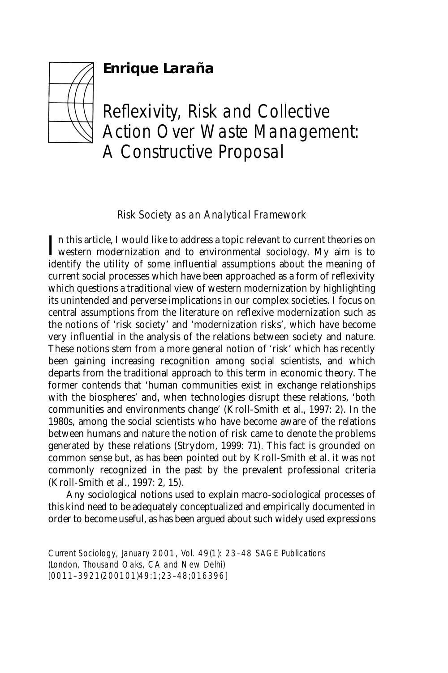# **Enrique Laraña**



# Reflexivity, Risk and Collective Action Over Waste Management: A Constructive Proposal

Risk Society as an Analytical Framework

In this article, I would like to address a topic relevant to current theories on western modernization and to environmental sociology. My aim is to n this article, I would like to address a topic relevant to current theories on identify the utility of some influential assumptions about the meaning of current social processes which have been approached as a form of reflexivity which questions a traditional view of western modernization by highlighting its unintended and perverse implications in our complex societies. I focus on central assumptions from the literature on reflexive modernization such as the notions of 'risk society' and 'modernization risks', which have become very influential in the analysis of the relations between society and nature. These notions stem from a more general notion of 'risk' which has recently been gaining increasing recognition among social scientists, and which departs from the traditional approach to this term in economic theory. The former contends that 'human communities exist in exchange relationships with the biospheres' and, when technologies disrupt these relations, 'both communities and environments change' (Kroll-Smith et al., 1997: 2). In the 1980s, among the social scientists who have become aware of the relations between humans and nature the notion of risk came to denote the problems generated by these relations (Strydom, 1999: 71). This fact is grounded on common sense but, as has been pointed out by Kroll-Smith et al. it was not commonly recognized in the past by the prevalent professional criteria (Kroll-Smith et al., 1997: 2, 15).

Any sociological notions used to explain macro-sociological processes of this kind need to be adequately conceptualized and empirically documented in order to become useful, as has been argued about such widely used expressions

*Current Sociology*, January 2001, Vol. 49(1): 23–48 SAGE Publications (London, Thousand Oaks, CA and New Delhi) [0011–3921(200101)49:1;23–48;016396]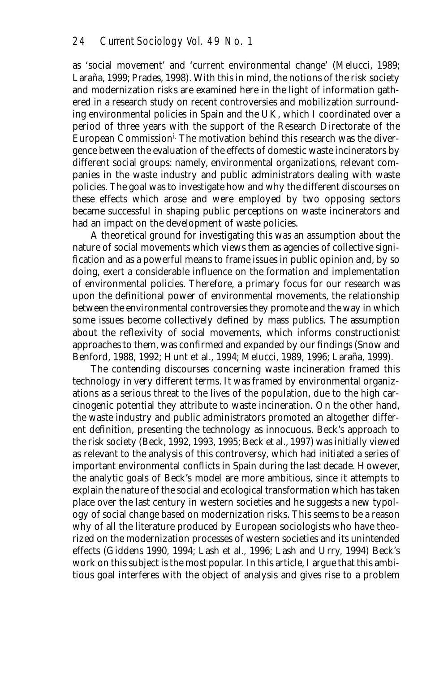as 'social movement' and 'current environmental change' (Melucci, 1989; Laraña, 1999; Prades, 1998). With this in mind, the notions of the risk society and modernization risks are examined here in the light of information gathered in a research study on recent controversies and mobilization surrounding environmental policies in Spain and the UK, which I coordinated over a period of three years with the support of the Research Directorate of the European Commissioni. The motivation behind this research was the divergence between the evaluation of the effects of domestic waste incinerators by different social groups: namely, environmental organizations, relevant companies in the waste industry and public administrators dealing with waste policies. The goal was to investigate how and why the different discourses on these effects which arose and were employed by two opposing sectors became successful in shaping public perceptions on waste incinerators and had an impact on the development of waste policies.

A theoretical ground for investigating this was an assumption about the nature of social movements which views them as agencies of collective signification and as a powerful means to frame issues in public opinion and, by so doing, exert a considerable influence on the formation and implementation of environmental policies. Therefore, a primary focus for our research was upon the definitional power of environmental movements, the relationship between the environmental controversies they promote and the way in which some issues become collectively defined by mass publics. The assumption about the reflexivity of social movements, which informs constructionist approaches to them, was confirmed and expanded by our findings (Snow and Benford, 1988, 1992; Hunt et al., 1994; Melucci, 1989, 1996; Laraña, 1999).

The contending discourses concerning waste incineration framed this technology in very different terms. It was framed by environmental organizations as a serious threat to the lives of the population, due to the high carcinogenic potential they attribute to waste incineration. On the other hand, the waste industry and public administrators promoted an altogether different definition, presenting the technology as innocuous. Beck's approach to the risk society (Beck, 1992, 1993, 1995; Beck et al., 1997) was initially viewed as relevant to the analysis of this controversy, which had initiated a series of important environmental conflicts in Spain during the last decade. However, the analytic goals of Beck's model are more ambitious, since it attempts to explain the nature of the social and ecological transformation which has taken place over the last century in western societies and he suggests a new typology of social change based on modernization risks. This seems to be a reason why of all the literature produced by European sociologists who have theorized on the modernization processes of western societies and its unintended effects (Giddens 1990, 1994; Lash et al., 1996; Lash and Urry, 1994) Beck's work on this subject is the most popular. In this article, I argue that this ambitious goal interferes with the object of analysis and gives rise to a problem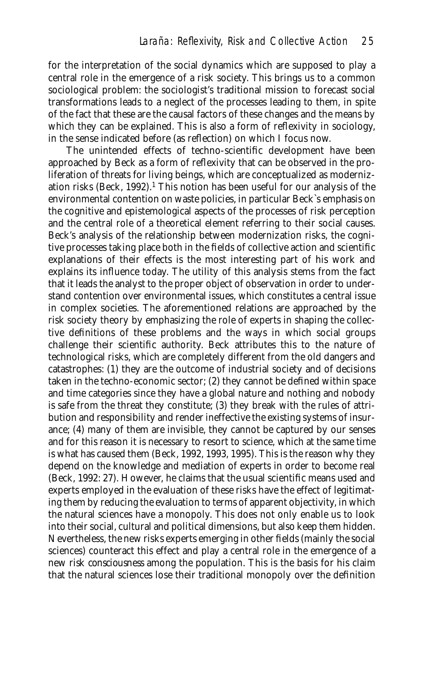for the interpretation of the social dynamics which are supposed to play a central role in the emergence of a risk society. This brings us to a common sociological problem: the sociologist's traditional mission to forecast social transformations leads to a neglect of the processes leading to them, in spite of the fact that these are the causal factors of these changes and the means by which they can be explained. This is also a form of reflexivity in sociology, in the sense indicated before (as reflection) on which I focus now.

The unintended effects of techno-scientific development have been approached by Beck as a form of reflexivity that can be observed in the proliferation of threats for living beings, which are conceptualized as modernization risks (Beck, 1992).1 This notion has been useful for our analysis of the environmental contention on waste policies, in particular Beck`s emphasis on the cognitive and epistemological aspects of the processes of risk perception and the central role of a theoretical element referring to their social causes. Beck's analysis of the relationship between modernization risks, the cognitive processes taking place both in the fields of collective action and scientific explanations of their effects is the most interesting part of his work and explains its influence today. The utility of this analysis stems from the fact that it leads the analyst to the proper object of observation in order to understand contention over environmental issues, which constitutes a central issue in complex societies. The aforementioned relations are approached by the risk society theory by emphasizing the role of experts in shaping the collective definitions of these problems and the ways in which social groups challenge their scientific authority. Beck attributes this to the nature of technological risks, which are completely different from the old dangers and catastrophes: (1) they are the outcome of industrial society and of decisions taken in the techno-economic sector; (2) they cannot be defined within space and time categories since they have a global nature and nothing and nobody is safe from the threat they constitute; (3) they break with the rules of attribution and responsibility and render ineffective the existing systems of insurance; (4) many of them are invisible, they cannot be captured by our senses and for this reason it is necessary to resort to science, which at the same time is what has caused them (Beck, 1992, 1993, 1995). This is the reason why they depend on the knowledge and mediation of experts in order to become real (Beck, 1992: 27). However, he claims that the usual scientific means used and experts employed in the evaluation of these risks have the effect of legitimating them by reducing the evaluation to terms of apparent objectivity, in which the natural sciences have a monopoly. This does not only enable us to look into their social, cultural and political dimensions, but also keep them hidden. Nevertheless, the new risks experts emerging in other fields (mainly the social sciences) counteract this effect and play a central role in the emergence of a new *risk consciousness* among the population. This is the basis for his claim that the natural sciences lose their traditional monopoly over the definition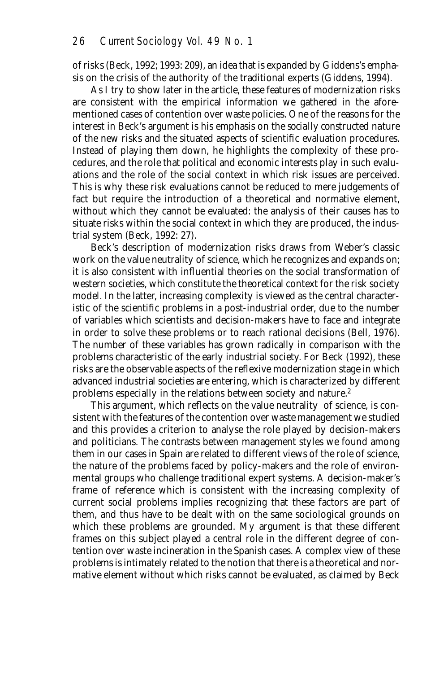of risks (Beck, 1992; 1993: 209), an idea that is expanded by Giddens's emphasis on the crisis of the authority of the traditional experts (Giddens, 1994).

As I try to show later in the article, these features of modernization risks are consistent with the empirical information we gathered in the aforementioned cases of contention over waste policies. One of the reasons for the interest in Beck's argument is his emphasis on the *socially constructed nature* of the new risks and the situated aspects of scientific evaluation procedures. Instead of playing them down, he highlights the complexity of these procedures, and the role that political and economic interests play in such evaluations and the role of the social context in which risk issues are perceived. This is why these risk evaluations cannot be reduced to mere judgements of fact but require the introduction of a theoretical and normative element, without which they cannot be evaluated: the analysis of their causes has to situate risks within the social context in which they are produced, the industrial system (Beck, 1992: 27).

Beck's description of modernization risks draws from Weber's classic work on the value neutrality of science, which he recognizes and expands on; it is also consistent with influential theories on the social transformation of western societies, which constitute the theoretical context for the risk society model. In the latter, increasing complexity is viewed as the central characteristic of the scientific problems in a post-industrial order, due to the number of variables which scientists and decision-makers have to face and integrate in order to solve these problems or to reach rational decisions (Bell, 1976). The number of these variables has grown radically in comparison with the problems characteristic of the early industrial society. For Beck (1992), these risks are the observable aspects of the reflexive modernization stage in which advanced industrial societies are entering, which is characterized by different problems especially in the relations between society and nature.2

This argument, which reflects on the value neutrality of science, is consistent with the features of the contention over waste management we studied and this provides a criterion to analyse the role played by decision-makers and politicians. The contrasts between management styles we found among them in our cases in Spain are related to different views of the role of science, the nature of the problems faced by policy-makers and the role of environmental groups who challenge traditional expert systems. A decision-maker's frame of reference which is consistent with the increasing complexity of current social problems implies recognizing that these factors are part of them, and thus have to be dealt with on the same sociological grounds on which these problems are grounded. My argument is that these different frames on this subject played a central role in the different degree of contention over waste incineration in the Spanish cases. A complex view of these problems is intimately related to the notion that there is a theoretical and normative element without which risks cannot be evaluated, as claimed by Beck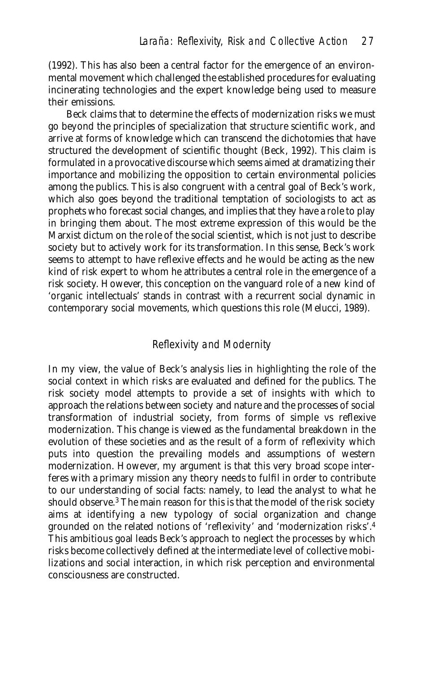(1992). This has also been a central factor for the emergence of an environmental movement which challenged the established procedures for evaluating incinerating technologies and the expert knowledge being used to measure their emissions.

Beck claims that to determine the effects of modernization risks we must go beyond the principles of specialization that structure scientific work, and arrive at forms of knowledge which can transcend the dichotomies that have structured the development of scientific thought (Beck, 1992). This claim is formulated in a provocative discourse which seems aimed at dramatizing their importance and mobilizing the opposition to certain environmental policies among the publics. This is also congruent with a central goal of Beck's work, which also goes beyond the traditional temptation of sociologists to act as prophets who forecast social changes, and implies that they have a role to play in bringing them about. The most extreme expression of this would be the Marxist dictum on the role of the social scientist, which is not just to describe society but to actively work for its transformation. In this sense, Beck's work seems to attempt to have reflexive effects and he would be acting as the new kind of risk expert to whom he attributes a central role in the emergence of a risk society. However, this conception on the vanguard role of a new kind of 'organic intellectuals' stands in contrast with a recurrent social dynamic in contemporary social movements, which questions this role (Melucci, 1989).

# Reflexivity and Modernity

In my view, the value of Beck's analysis lies in highlighting the role of the social context in which risks are evaluated and defined for the publics. The risk society model attempts to provide a set of insights with which to approach the relations between society and nature and the processes of social transformation of industrial society, from forms of simple vs reflexive modernization. This change is viewed as the fundamental breakdown in the evolution of these societies and as the result of a form of reflexivity which puts into question the prevailing models and assumptions of western modernization. However, my argument is that this very broad scope interferes with a primary mission any theory needs to fulfil in order to contribute to our understanding of social facts: namely, to lead the analyst to what he should observe.<sup>3</sup> The main reason for this is that the model of the risk society aims at identifying a new typology of social organization and change grounded on the related notions of 'reflexivity' and 'modernization risks'.4 This ambitious goal leads Beck's approach to neglect the processes by which risks become collectively defined at the intermediate level of collective mobilizations and social interaction, in which risk perception and environmental consciousness are constructed.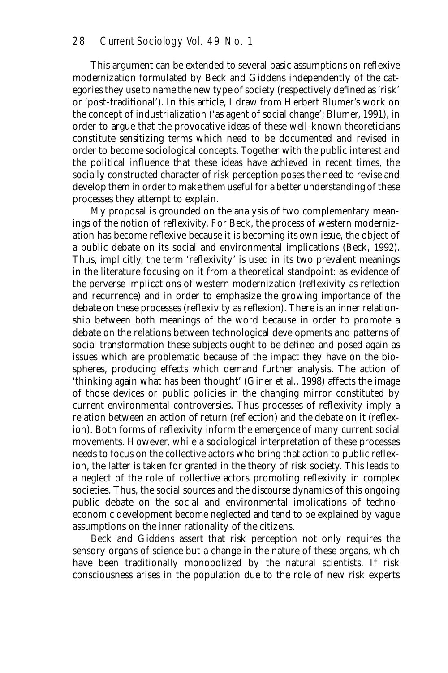This argument can be extended to several basic assumptions on reflexive modernization formulated by Beck and Giddens independently of the categories they use to name the new type of society (respectively defined as 'risk' or 'post-traditional'). In this article, I draw from Herbert Blumer's work on the concept of industrialization ('as agent of social change'; Blumer, 1991), in order to argue that the provocative ideas of these well-known theoreticians constitute *sensitizing terms* which need to be documented and revised in order to become sociological concepts. Together with the public interest and the political influence that these ideas have achieved in recent times, the socially constructed character of risk perception poses the need to revise and develop them in order to make them useful for a better understanding of these processes they attempt to explain.

My proposal is grounded on the analysis of two complementary meanings of the notion of reflexivity. For Beck, the process of western modernization has become reflexive because it is becoming *its own issue*, the object of a public debate on its social and environmental implications (Beck, 1992). Thus, implicitly, the term 'reflexivity' is used in its two prevalent meanings in the literature focusing on it from a theoretical standpoint: as evidence of the perverse implications of western modernization (reflexivity as *reflection* and recurrence) and in order to emphasize the growing importance of the debate on these processes (reflexivity as *reflexion*). There is an inner relationship between both meanings of the word because in order to promote a debate on the relations between technological developments and patterns of social transformation these subjects ought to be defined and posed again as issues which are problematic because of the impact they have on the biospheres, producing effects which demand further analysis. The action of 'thinking again what has been thought' (Giner et al., 1998) affects the image of those devices or public policies in the changing mirror constituted by current environmental controversies. Thus processes of reflexivity imply a relation between an action of return (reflection) and the debate on it (reflexion). Both forms of reflexivity inform the emergence of many current social movements. However, while a sociological interpretation of these processes needs to focus on the collective actors who bring that action to public reflexion, the latter is taken for granted in the theory of risk society. This leads to a neglect of the role of collective actors promoting reflexivity in complex societies. Thus, the social sources and the *discourse dynamics* of this ongoing public debate on the social and environmental implications of technoeconomic development become neglected and tend to be explained by vague assumptions on the inner rationality of the citizens.

Beck and Giddens assert that risk perception not only requires the sensory organs of science but a change in the nature of these organs, which have been traditionally monopolized by the natural scientists. If risk consciousness arises in the population due to the role of new risk experts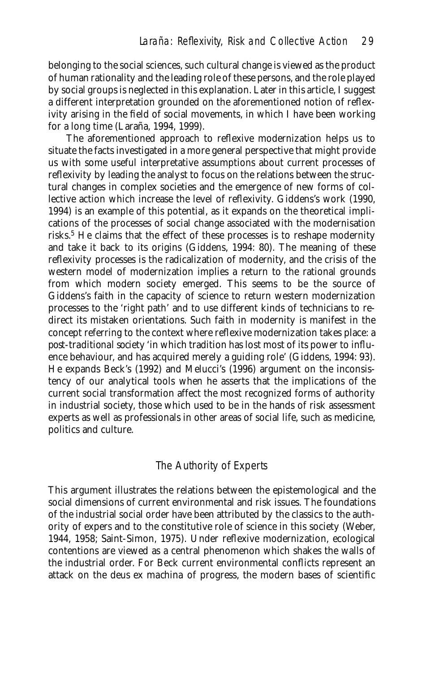belonging to the social sciences, such cultural change is viewed as the product of human rationality and the leading role of these persons, and the role played by social groups is neglected in this explanation. Later in this article, I suggest a different interpretation grounded on the aforementioned notion of reflexivity arising in the field of social movements, in which I have been working for a long time (Laraña, 1994, 1999).

The aforementioned approach to reflexive modernization helps us to situate the facts investigated in a more general perspective that might provide us with some useful interpretative assumptions about current processes of reflexivity by leading the analyst to focus on the relations between the structural changes in complex societies and the emergence of new forms of collective action which increase the level of reflexivity. Giddens's work (1990, 1994) is an example of this potential, as it expands on the theoretical implications of the processes of social change associated with the modernisation risks.<sup>5</sup> He claims that the effect of these processes is to reshape modernity and take it back to its origins (Giddens, 1994: 80). The meaning of these reflexivity processes is the radicalization of modernity, and the crisis of the western model of modernization implies a return to the rational grounds from which modern society emerged. This seems to be the source of Giddens's faith in the capacity of science to return western modernization processes to the 'right path' and to use different kinds of technicians to redirect its mistaken orientations. Such faith in modernity is manifest in the concept referring to the context where reflexive modernization takes place: a *post-traditional society* 'in which tradition has lost most of its power to influence behaviour, and has acquired merely a guiding role' (Giddens, 1994: 93). He expands Beck's (1992) and Melucci's (1996) argument on the inconsistency of our analytical tools when he asserts that the implications of the current social transformation affect the most recognized forms of authority in industrial society, those which used to be in the hands of risk assessment experts as well as professionals in other areas of social life, such as medicine, politics and culture.

# The Authority of Experts

This argument illustrates the relations between the epistemological and the social dimensions of current environmental and risk issues. The foundations of the industrial social order have been attributed by the classics to the authority of expers and to the constitutive role of science in this society (Weber, 1944, 1958; Saint-Simon, 1975). Under reflexive modernization, ecological contentions are viewed as a central phenomenon which shakes the walls of the industrial order. For Beck current environmental conflicts represent an attack on the *deus ex machina* of progress, the modern bases of scientific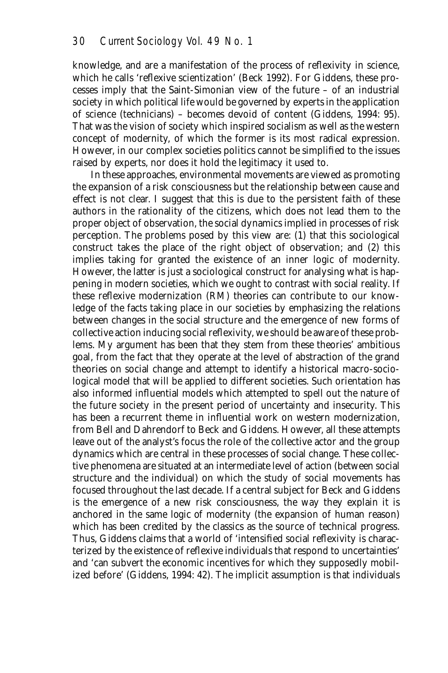knowledge, and are a manifestation of the process of reflexivity in science, which he calls 'reflexive scientization' (Beck 1992). For Giddens, these processes imply that the Saint-Simonian view of the future – of an industrial society in which political life would be governed by experts in the application of science (technicians) – becomes devoid of content (Giddens, 1994: 95). That was the vision of society which inspired socialism as well as the western concept of modernity, of which the former is its most radical expression. However, in our complex societies politics cannot be simplified to the issues raised by experts, nor does it hold the legitimacy it used to.

In these approaches, environmental movements are viewed as promoting the expansion of a risk consciousness but the relationship between cause and effect is not clear. I suggest that this is due to the persistent faith of these authors in the rationality of the citizens, which does not lead them to the proper object of observation, the social dynamics implied in processes of risk perception. The problems posed by this view are: (1) that this sociological construct takes the place of the right object of observation; and (2) this implies taking for granted the existence of an inner logic of modernity. However, the latter is just a sociological construct for analysing what is happening in modern societies, which we ought to contrast with social reality. If these reflexive modernization (RM) theories can contribute to our knowledge of the facts taking place in our societies by emphasizing the relations between changes in the social structure and the emergence of new forms of collective action inducing social reflexivity, we should be aware of these problems. My argument has been that they stem from these theories' ambitious goal, from the fact that they operate at the level of abstraction of the grand theories on social change and attempt to identify a historical macro-sociological model that will be applied to different societies. Such orientation has also informed influential models which attempted to spell out the nature of the future society in the present period of uncertainty and insecurity. This has been a recurrent theme in influential work on western modernization, from Bell and Dahrendorf to Beck and Giddens. However, all these attempts leave out of the analyst's focus the role of the collective actor and the group dynamics which are central in these processes of social change. These collective phenomena are situated at an intermediate level of action (between social structure and the individual) on which the study of social movements has focused throughout the last decade. If a central subject for Beck and Giddens is the emergence of a new risk consciousness, the way they explain it is anchored in the same *logic of modernity* (the expansion of human reason) which has been credited by the classics as the source of technical progress. Thus, Giddens claims that a world of 'intensified social reflexivity is characterized by the existence of reflexive individuals that respond to uncertainties' and 'can subvert the economic incentives for which they supposedly mobilized before' (Giddens, 1994: 42). The implicit assumption is that individuals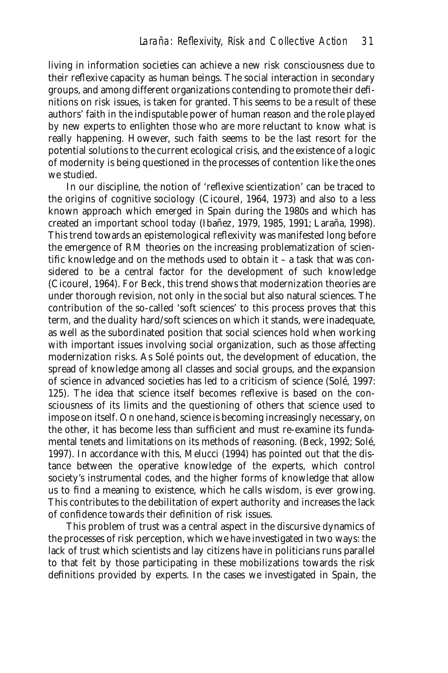living in information societies can achieve a new risk consciousness due to their reflexive capacity as human beings. The social interaction in secondary groups, and among different organizations contending to promote their definitions on risk issues, is taken for granted. This seems to be a result of these authors' faith in the indisputable power of human reason and the role played by new experts to enlighten those who are more reluctant to know what is really happening. However, such faith seems to be the last resort for the potential solutions to the current ecological crisis, and the existence of a logic of modernity is being questioned in the processes of contention like the ones we studied.

In our discipline, the notion of 'reflexive scientization' can be traced to the origins of cognitive sociology (Cicourel, 1964, 1973) and also to a less known approach which emerged in Spain during the 1980s and which has created an important school today (Ibañez, 1979, 1985, 1991; Laraña, 1998). This trend towards an epistemological reflexivity was manifested long before the emergence of RM theories on the increasing problematization of scientific knowledge and on the methods used to obtain it – a task that was considered to be a central factor for the development of such knowledge (Cicourel, 1964). For Beck, this trend shows that modernization theories are under thorough revision, not only in the social but also natural sciences. The contribution of the so-called 'soft sciences' to this process proves that this term, and the duality hard/soft sciences on which it stands, were inadequate, as well as the subordinated position that social sciences hold when working with important issues involving social organization, such as those affecting modernization risks. As Solé points out, the development of education, the spread of knowledge among all classes and social groups, and the expansion of science in advanced societies has led to a criticism of science (Solé, 1997: 125). The idea that science itself becomes reflexive is based on the consciousness of its limits and the questioning of others that science used to impose on itself. On one hand, science is becoming increasingly necessary, on the other, it has become less than sufficient and must re-examine its fundamental tenets and limitations on its methods of reasoning. (Beck, 1992; Solé, 1997). In accordance with this, Melucci (1994) has pointed out that the distance between the operative knowledge of the experts, which control society's instrumental codes, and the higher forms of knowledge that allow us to find a meaning to existence, which he calls wisdom, is ever growing. This contributes to the debilitation of expert authority and increases the lack of confidence towards their definition of risk issues.

This problem of trust was a central aspect in the discursive dynamics of the processes of risk perception, which we have investigated in two ways: the lack of trust which scientists and lay citizens have in politicians runs parallel to that felt by those participating in these mobilizations towards the risk definitions provided by experts. In the cases we investigated in Spain, the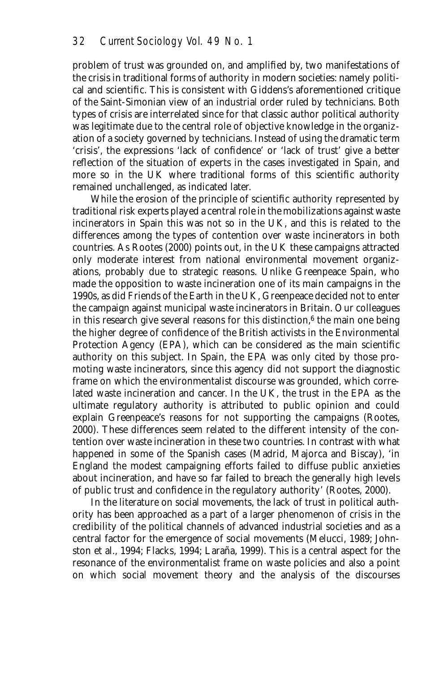problem of trust was grounded on, and amplified by, two manifestations of the crisis in traditional forms of authority in modern societies: namely political and scientific. This is consistent with Giddens's aforementioned critique of the Saint-Simonian view of an industrial order ruled by technicians. Both types of crisis are interrelated since for that classic author political authority was legitimate due to the central role of objective knowledge in the organization of a society governed by technicians. Instead of using the dramatic term 'crisis', the expressions 'lack of confidence' or 'lack of trust' give a better reflection of the situation of experts in the cases investigated in Spain, and more so in the UK where traditional forms of this scientific authority remained unchallenged, as indicated later.

While the erosion of the principle of scientific authority represented by traditional risk experts played a central role in the mobilizations against waste incinerators in Spain this was not so in the UK, and this is related to the differences among the types of contention over waste incinerators in both countries. As Rootes (2000) points out, in the UK these campaigns attracted only moderate interest from national environmental movement organizations, probably due to strategic reasons. Unlike Greenpeace Spain, who made the opposition to waste incineration one of its main campaigns in the 1990s, as did Friends of the Earth in the UK, Greenpeace decided not to enter the campaign against municipal waste incinerators in Britain. Our colleagues in this research give several reasons for this distinction, $6$  the main one being the higher degree of confidence of the British activists in the Environmental Protection Agency (EPA), which can be considered as the main scientific authority on this subject. In Spain, the EPA was only cited by those promoting waste incinerators, since this agency did not support the diagnostic frame on which the environmentalist discourse was grounded, which correlated waste incineration and cancer. In the UK, the trust in the EPA as the ultimate regulatory authority is attributed to public opinion and could explain Greenpeace's reasons for not supporting the campaigns (Rootes, 2000). These differences seem related to the different intensity of the contention over waste incineration in these two countries. In contrast with what happened in some of the Spanish cases (Madrid, Majorca and Biscay), 'in England the modest campaigning efforts failed to diffuse public anxieties about incineration, and have so far failed to breach the generally high levels of public trust and confidence in the regulatory authority' (Rootes, 2000).

In the literature on social movements, the lack of trust in political authority has been approached as a part of a larger phenomenon of crisis in the credibility of the political channels of advanced industrial societies and as a central factor for the emergence of social movements (Melucci, 1989; Johnston et al., 1994; Flacks, 1994; Laraña, 1999). This is a central aspect for the resonance of the environmentalist frame on waste policies and also a point on which social movement theory and the analysis of the discourses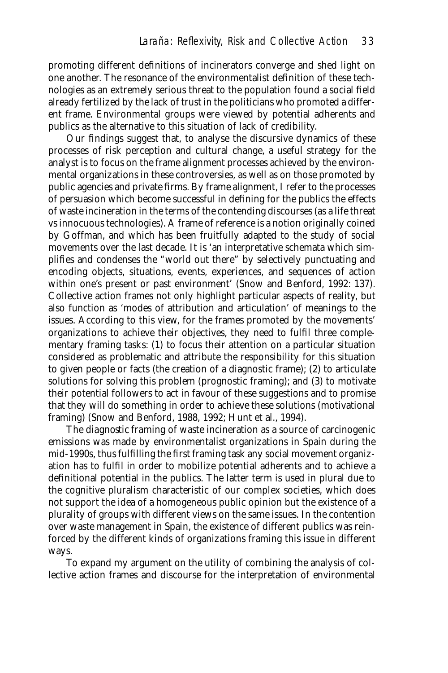promoting different definitions of incinerators converge and shed light on one another. The resonance of the environmentalist definition of these technologies as an extremely serious threat to the population found a social field already fertilized by the lack of trust in the politicians who promoted a different frame. Environmental groups were viewed by potential adherents and publics as the alternative to this situation of lack of credibility.

Our findings suggest that, to analyse the discursive dynamics of these processes of risk perception and cultural change, a useful strategy for the analyst is to focus on the frame alignment processes achieved by the environmental organizations in these controversies, as well as on those promoted by public agencies and private firms. By frame alignment, I refer to the processes of persuasion which become successful in defining for the publics the effects of waste incineration in the terms of the contending discourses (as a life threat vs innocuous technologies). A frame of reference is a notion originally coined by Goffman, and which has been fruitfully adapted to the study of social movements over the last decade. It is 'an interpretative schemata which simplifies and condenses the "world out there" by selectively punctuating and encoding objects, situations, events, experiences, and sequences of action within one's present or past environment' (Snow and Benford, 1992: 137). Collective action frames not only highlight particular aspects of reality, but also function as 'modes of attribution and articulation' of meanings to the issues. According to this view, for the frames promoted by the movements' organizations to achieve their objectives, they need to fulfil three complementary framing tasks: (1) to focus their attention on a particular situation considered as problematic and attribute the responsibility for this situation to given people or facts (the creation of a diagnostic frame); (2) to articulate solutions for solving this problem (prognostic framing); and (3) to motivate their potential followers to act in favour of these suggestions and to promise that they will do something in order to achieve these solutions (motivational framing) (Snow and Benford, 1988, 1992; Hunt et al., 1994).

The *diagnostic framing* of waste incineration as a source of carcinogenic emissions was made by environmentalist organizations in Spain during the mid-1990s, thus fulfilling the first framing task any social movement organization has to fulfil in order to mobilize potential adherents and to achieve a definitional potential in the publics. The latter term is used in plural due to the cognitive pluralism characteristic of our complex societies, which does not support the idea of a homogeneous public opinion but the existence of a plurality of groups with different views on the same issues. In the contention over waste management in Spain, the existence of different publics was reinforced by the different kinds of organizations framing this issue in different ways.

To expand my argument on the utility of combining the analysis of collective action frames and discourse for the interpretation of environmental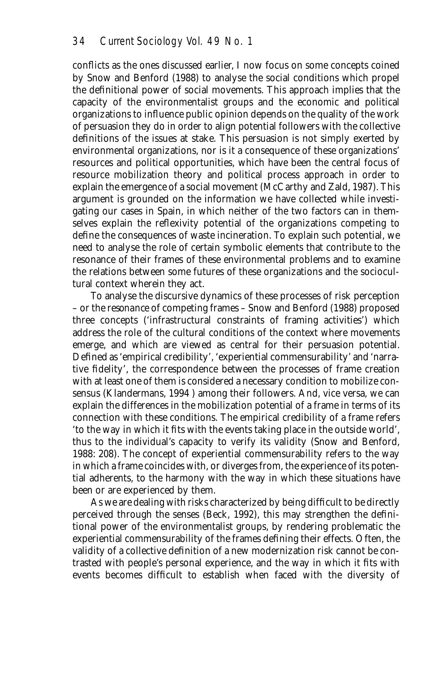conflicts as the ones discussed earlier, I now focus on some concepts coined by Snow and Benford (1988) to analyse the social conditions which propel the definitional power of social movements. This approach implies that the capacity of the environmentalist groups and the economic and political organizations to influence public opinion depends on the quality of the work of persuasion they do in order to align potential followers with the collective definitions of the issues at stake. This persuasion is not simply exerted by environmental organizations, nor is it a consequence of these organizations' resources and political opportunities, which have been the central focus of resource mobilization theory and political process approach in order to explain the emergence of a social movement (McCarthy and Zald, 1987). This argument is grounded on the information we have collected while investigating our cases in Spain, in which neither of the two factors can in themselves explain the reflexivity potential of the organizations competing to define the consequences of waste incineration. To explain such potential, we need to analyse the role of certain symbolic elements that contribute to the resonance of their frames of these environmental problems and to examine the relations between some futures of these organizations and the sociocultural context wherein they act.

To analyse the discursive dynamics of these processes of risk perception – or the *resonance* of competing frames – Snow and Benford (1988) proposed three concepts ('infrastructural constraints of framing activities') which address the role of the cultural conditions of the context where movements emerge, and which are viewed as central for their persuasion potential. Defined as 'empirical credibility', 'experiential commensurability' and 'narrative fidelity', the correspondence between the processes of frame creation with at least one of them is considered a necessary condition to mobilize consensus (Klandermans, 1994 ) among their followers. And, vice versa, we can explain the differences in the mobilization potential of a frame in terms of its connection with these conditions. The empirical credibility of a frame refers 'to the way in which it fits with the events taking place in the outside world', thus to the individual's capacity to verify its validity (Snow and Benford, 1988: 208). The concept of experiential commensurability refers to the way in which a frame coincides with, or diverges from, the experience of its potential adherents, to the harmony with the way in which these situations have been or are experienced by them.

As we are dealing with risks characterized by being difficult to be directly perceived through the senses (Beck, 1992), this may strengthen the definitional power of the environmentalist groups, by rendering problematic the experiential commensurability of the frames defining their effects. Often, the validity of a collective definition of a new modernization risk cannot be contrasted with people's personal experience, and the way in which it fits with events becomes difficult to establish when faced with the diversity of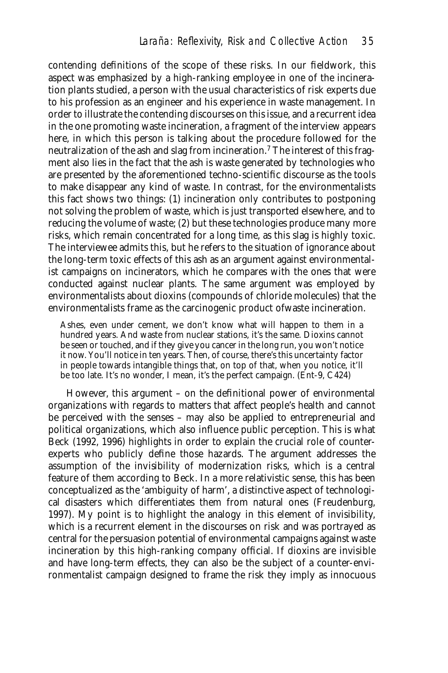contending definitions of the scope of these risks. In our fieldwork, this aspect was emphasized by a high-ranking employee in one of the incineration plants studied, a person with the usual characteristics of risk experts due to his profession as an engineer and his experience in waste management. In order to illustrate the contending discourses on this issue, and a recurrent idea in the one promoting waste incineration, a fragment of the interview appears here, in which this person is talking about the procedure followed for the neutralization of the ash and slag from incineration.7 The interest of this fragment also lies in the fact that the ash is waste generated by technologies who are presented by the aforementioned techno-scientific discourse as the tools to make disappear any kind of waste. In contrast, for the environmentalists this fact shows two things: (1) incineration only contributes to postponing not solving the problem of waste, which is just transported elsewhere, and to reducing the volume of waste; (2) but these technologies produce many more risks, which remain concentrated for a long time, as this slag is highly toxic. The interviewee admits this, but he refers to the situation of ignorance about the long-term toxic effects of this ash as an argument against environmentalist campaigns on incinerators, which he compares with the ones that were conducted against nuclear plants. The same argument was employed by environmentalists about dioxins (compounds of chloride molecules) that the environmentalists frame as the carcinogenic product ofwaste incineration.

Ashes, even under cement, we don't know what will happen to them in a hundred years. And waste from nuclear stations, it's the same. Dioxins cannot be seen or touched, and if they give you cancer in the long run, you won't notice it now. You'll notice in ten years. Then, of course, there's this uncertainty factor in people towards intangible things that, on top of that, when you notice, it'll be too late. It's no wonder, I mean, it's the perfect campaign. (Ent-9, C424)

However, this argument – on the definitional power of environmental organizations with regards to matters that affect people's health and cannot be perceived with the senses – may also be applied to entrepreneurial and political organizations, which also influence public perception. This is what Beck (1992, 1996) highlights in order to explain the crucial role of counterexperts who publicly define those hazards. The argument addresses the assumption of the *invisibility* of modernization risks, which is a central feature of them according to Beck. In a more relativistic sense, this has been conceptualized as the 'ambiguity of harm', a distinctive aspect of technological disasters which differentiates them from natural ones (Freudenburg, 1997). My point is to highlight the analogy in this element of invisibility, which is a recurrent element in the discourses on risk and was portrayed as central for the persuasion potential of environmental campaigns against waste incineration by this high-ranking company official. If dioxins are invisible and have long-term effects, they can also be the subject of a counter-environmentalist campaign designed to frame the risk they imply as innocuous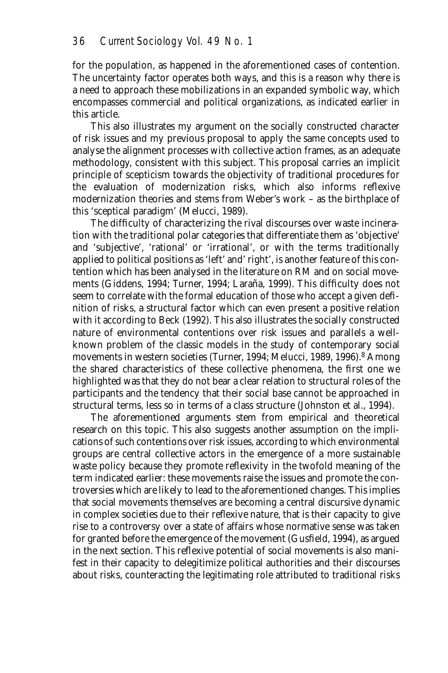for the population, as happened in the aforementioned cases of contention. The uncertainty factor operates both ways, and this is a reason why there is a need to approach these mobilizations in an expanded symbolic way, which encompasses commercial and political organizations, as indicated earlier in this article.

This also illustrates my argument on the socially constructed character of risk issues and my previous proposal to apply the same concepts used to analyse the alignment processes with collective action frames, as an adequate methodology, consistent with this subject. This proposal carries an implicit principle of scepticism towards the objectivity of traditional procedures for the evaluation of modernization risks, which also informs reflexive modernization theories and stems from Weber's work – as the birthplace of this 'sceptical paradigm' (Melucci, 1989).

The difficulty of characterizing the rival discourses over waste incineration with the traditional polar categories that differentiate them as 'objective' and 'subjective', 'rational' or 'irrational', or with the terms traditionally applied to political positions as 'left' and' right', is another feature of this contention which has been analysed in the literature on RM and on social movements (Giddens, 1994; Turner, 1994; Laraña, 1999). This difficulty does not seem to correlate with the formal education of those who accept a given definition of risks, a structural factor which can even present a positive relation with it according to Beck (1992). This also illustrates the socially constructed nature of environmental contentions over risk issues and parallels a wellknown problem of the classic models in the study of contemporary social movements in western societies (Turner, 1994; Melucci, 1989, 1996).<sup>8</sup> Among the shared characteristics of these collective phenomena, the first one we highlighted was that they do not bear a clear relation to structural roles of the participants and the tendency that their social base cannot be approached in structural terms, less so in terms of a class structure (Johnston et al., 1994).

The aforementioned arguments stem from empirical and theoretical research on this topic. This also suggests another assumption on the implications of such contentions over risk issues, according to which environmental groups are central collective actors in the emergence of a more sustainable waste policy because they promote reflexivity in the twofold meaning of the term indicated earlier: these movements raise the issues and promote the controversies which are likely to lead to the aforementioned changes. This implies that social movements themselves are becoming a central discursive dynamic in complex societies due to their *reflexive nature*, that is their capacity to give rise to a controversy over a state of affairs whose normative sense was taken for granted before the emergence of the movement (Gusfield, 1994), as argued in the next section. This reflexive potential of social movements is also manifest in their capacity to delegitimize political authorities and their discourses about risks, counteracting the legitimating role attributed to traditional risks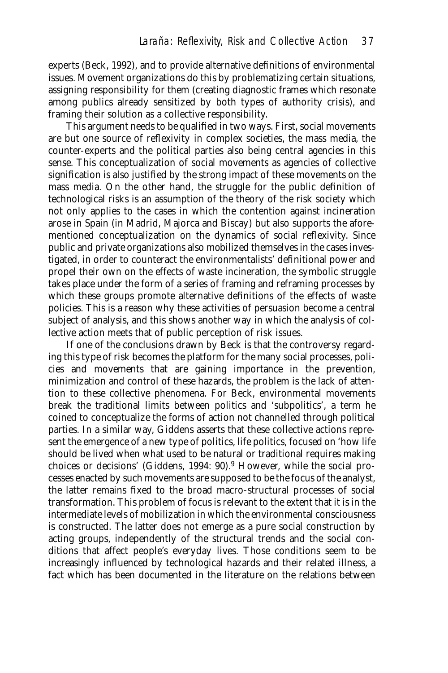experts (Beck, 1992), and to provide alternative definitions of environmental issues. Movement organizations do this by problematizing certain situations, assigning responsibility for them (creating diagnostic frames which resonate among publics already sensitized by both types of authority crisis), and framing their solution as a collective responsibility.

This argument needs to be qualified in two ways. First, social movements are but one source of reflexivity in complex societies, the mass media, the counter-experts and the political parties also being central agencies in this sense. This conceptualization of social movements as agencies of collective signification is also justified by the strong impact of these movements on the mass media. On the other hand, the struggle for the public definition of technological risks is an assumption of the theory of the risk society which not only applies to the cases in which the contention against incineration arose in Spain (in Madrid, Majorca and Biscay) but also supports the aforementioned conceptualization on the dynamics of social reflexivity. Since public and private organizations also *mobilized* themselves in the cases investigated, in order to counteract the environmentalists' definitional power and propel their own on the effects of waste incineration, the symbolic struggle takes place under the form of a series of framing and reframing processes by which these groups promote alternative definitions of the effects of waste policies. This is a reason why these activities of persuasion become a central subject of analysis, and this shows another way in which the analysis of collective action meets that of public perception of risk issues.

If one of the conclusions drawn by Beck is that the controversy regarding this type of risk becomes the platform for the many social processes, policies and movements that are gaining importance in the prevention, minimization and control of these hazards, the problem is the lack of attention to these collective phenomena. For Beck, environmental movements break the traditional limits between politics and 'subpolitics', a term he coined to conceptualize the forms of action not channelled through political parties. In a similar way, Giddens asserts that these collective actions represent the emergence of a new type of politics, life politics, focused on 'how life should be lived when what used to be natural or traditional requires making choices or decisions' (Giddens, 1994: 90).9 However, while the social processes enacted by such movements are supposed to be the focus of the analyst, the latter remains fixed to the broad macro-structural processes of social transformation. This problem of focus is relevant to the extent that it is in the intermediate levels of mobilization in which the environmental consciousness is constructed. The latter does not emerge as a pure social construction by acting groups, independently of the structural trends and the social conditions that affect people's everyday lives. Those conditions seem to be increasingly influenced by technological hazards and their related illness, a fact which has been documented in the literature on the relations between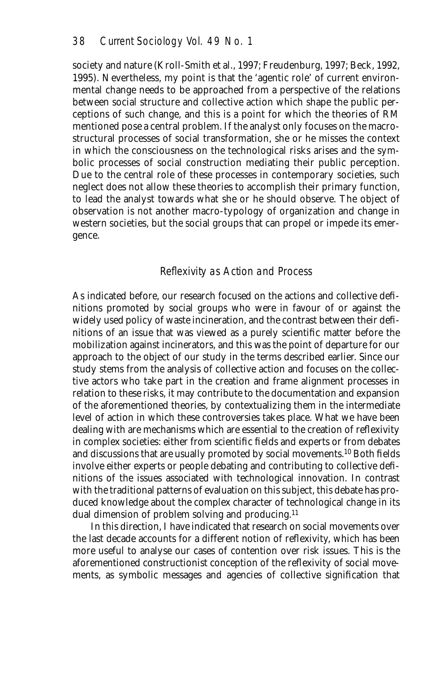society and nature (Kroll-Smith et al., 1997; Freudenburg, 1997; Beck, 1992, 1995). Nevertheless, my point is that the 'agentic role' of current environmental change needs to be approached from a perspective of the relations between social structure and collective action which shape the public perceptions of such change, and this is a point for which the theories of RM mentioned pose a central problem. If the analyst only focuses on the macrostructural processes of social transformation, she or he misses the context in which the consciousness on the technological risks arises and the symbolic processes of social construction mediating their public perception. Due to the central role of these processes in contemporary societies, such neglect does not allow these theories to accomplish their primary function, to lead the analyst towards what she or he should observe. The object of observation is not another macro-typology of organization and change in western societies, but the social groups that can propel or impede its emergence.

#### Reflexivity as Action and Process

As indicated before, our research focused on the actions and collective definitions promoted by social groups who were in favour of or against the widely used policy of waste incineration, and the contrast between their definitions of an issue that was viewed as a purely scientific matter before the mobilization against incinerators, and this was the point of departure for our approach to the object of our study in the terms described earlier. Since our study stems from the analysis of collective action and focuses on the collective actors who take part in the creation and frame alignment processes in relation to these risks, it may contribute to the documentation and expansion of the aforementioned theories, by contextualizing them in the intermediate level of action in which these controversies takes place. What we have been dealing with are mechanisms which are essential to the creation of reflexivity in complex societies: either from scientific fields and experts or from debates and discussions that are usually promoted by social movements.10 Both fields involve either experts or people debating and contributing to collective definitions of the issues associated with technological innovation. In contrast with the traditional patterns of evaluation on this subject, this debate has produced knowledge about the complex character of technological change in its dual dimension of problem solving and producing.<sup>11</sup>

In this direction, I have indicated that research on social movements over the last decade accounts for a different notion of reflexivity, which has been more useful to analyse our cases of contention over risk issues. This is the aforementioned constructionist conception of the reflexivity of social movements, as symbolic messages and agencies of collective signification that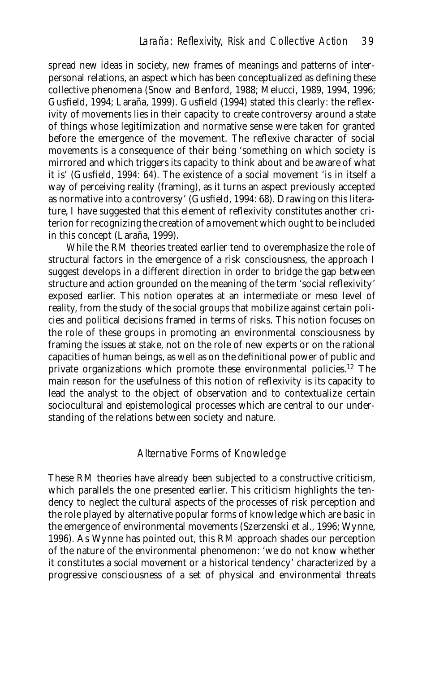spread new ideas in society, new frames of meanings and patterns of interpersonal relations, an aspect which has been conceptualized as defining these collective phenomena (Snow and Benford, 1988; Melucci, 1989, 1994, 1996; Gusfield, 1994; Laraña, 1999). Gusfield (1994) stated this clearly: the reflexivity of movements lies in their capacity to create controversy around a state of things whose legitimization and normative sense were taken for granted before the emergence of the movement. The reflexive character of social movements is a consequence of their being 'something on which society is mirrored and which triggers its capacity to think about and be aware of what it is' (Gusfield, 1994: 64). The existence of a social movement 'is in itself a way of perceiving reality (framing), as it turns an aspect previously accepted as normative into a controversy' (Gusfield, 1994: 68). Drawing on this literature, I have suggested that this element of reflexivity constitutes another criterion for recognizing the creation of a movement which ought to be included in this concept (Laraña, 1999).

While the RM theories treated earlier tend to overemphasize the role of structural factors in the emergence of a risk consciousness, the approach I suggest develops in a different direction in order to bridge the gap between structure and action grounded on the meaning of the term 'social reflexivity' exposed earlier. This notion operates at an intermediate or meso level of reality, from the study of the social groups that mobilize against certain policies and political decisions framed in terms of risks. This notion focuses on the role of these groups in promoting an environmental consciousness by framing the issues at stake, not on the role of new experts or on the rational capacities of human beings, as well as on the definitional power of public and private organizations which promote these environmental policies.12 The main reason for the usefulness of this notion of reflexivity is its capacity to lead the analyst to the object of observation and to contextualize certain sociocultural and epistemological processes which are central to our understanding of the relations between society and nature.

### Alternative Forms of Knowledge

These RM theories have already been subjected to a constructive criticism, which parallels the one presented earlier. This criticism highlights the tendency to neglect the cultural aspects of the processes of risk perception and the role played by alternative popular forms of knowledge which are basic in the emergence of environmental movements (Szerzenski et al., 1996; Wynne, 1996). As Wynne has pointed out, this RM approach shades our perception of the nature of the environmental phenomenon: 'we do not know whether it constitutes a social movement or a historical tendency' characterized by a progressive consciousness of a set of physical and environmental threats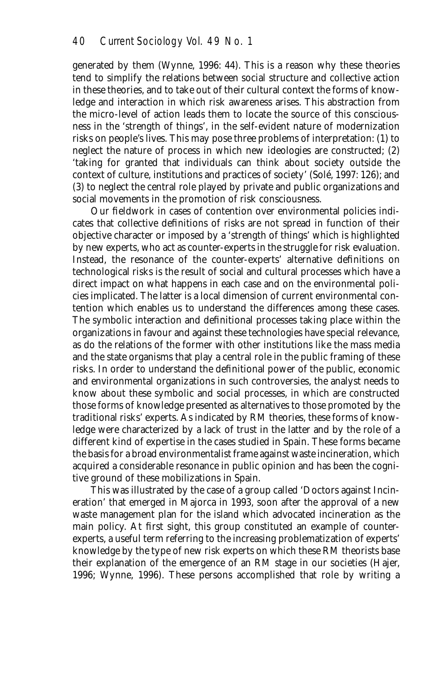generated by them (Wynne, 1996: 44). This is a reason why these theories tend to simplify the relations between social structure and collective action in these theories, and to take out of their cultural context the forms of knowledge and interaction in which risk awareness arises. This abstraction from the micro-level of action leads them to locate the source of this consciousness in the 'strength of things', in the self-evident nature of modernization risks on people's lives. This may pose three problems of interpretation: (1) to neglect the nature of process in which new ideologies are constructed; (2) 'taking for granted that individuals can think about society outside the context of culture, institutions and practices of society' (Solé, 1997: 126); and (3) to neglect the central role played by private and public organizations and social movements in the promotion of risk consciousness.

Our fieldwork in cases of contention over environmental policies indicates that collective definitions of risks are not spread in function of their objective character or imposed by a 'strength of things' which is highlighted by new experts, who act as counter-experts in the struggle for risk evaluation. Instead, the resonance of the counter-experts' alternative definitions on technological risks is the result of social and cultural processes which have a direct impact on what happens in each case and on the environmental policies implicated. The latter is a local dimension of current environmental contention which enables us to understand the differences among these cases. The symbolic interaction and definitional processes taking place within the organizations in favour and against these technologies have special relevance, as do the relations of the former with other institutions like the mass media and the state organisms that play a central role in the public framing of these risks. In order to understand the definitional power of the public, economic and environmental organizations in such controversies, the analyst needs to know about these symbolic and social processes, in which are constructed those forms of knowledge presented as alternatives to those promoted by the traditional risks' experts. As indicated by RM theories, these forms of knowledge were characterized by a lack of trust in the latter and by the role of a different kind of expertise in the cases studied in Spain. These forms became the basis for a broad environmentalist frame against waste incineration, which acquired a considerable resonance in public opinion and has been the cognitive ground of these mobilizations in Spain.

This was illustrated by the case of a group called 'Doctors against Incineration' that emerged in Majorca in 1993, soon after the approval of a new waste management plan for the island which advocated incineration as the main policy. At first sight, this group constituted an example of counterexperts, a useful term referring to the increasing problematization of experts' knowledge by the type of new risk experts on which these RM theorists base their explanation of the emergence of an RM stage in our societies (Hajer, 1996; Wynne, 1996). These persons accomplished that role by writing a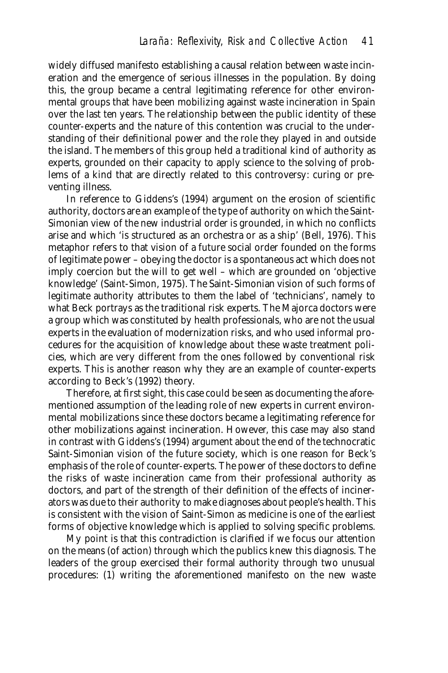widely diffused manifesto establishing a causal relation between waste incineration and the emergence of serious illnesses in the population. By doing this, the group became a central legitimating reference for other environmental groups that have been mobilizing against waste incineration in Spain over the last ten years. The relationship between the public identity of these counter-experts and the nature of this contention was crucial to the understanding of their definitional power and the role they played in and outside the island. The members of this group held a traditional kind of authority as experts, grounded on their capacity to apply science to the solving of problems of a kind that are directly related to this controversy: curing or preventing illness.

In reference to Giddens's (1994) argument on the erosion of scientific authority, doctors are an example of the type of authority on which the Saint-Simonian view of the new industrial order is grounded, in which no conflicts arise and which 'is structured as an orchestra or as a ship' (Bell, 1976). This metaphor refers to that vision of a future social order founded on the forms of legitimate power – obeying the doctor is a spontaneous act which does not imply coercion but the will to get well – which are grounded on 'objective knowledge' (Saint-Simon, 1975). The Saint-Simonian vision of such forms of legitimate authority attributes to them the label of 'technicians', namely to what Beck portrays as the traditional risk experts. The Majorca doctors were a group which was constituted by health professionals, who are not the usual experts in the evaluation of modernization risks, and who used informal procedures for the acquisition of knowledge about these waste treatment policies, which are very different from the ones followed by conventional risk experts. This is another reason why they are an example of counter-experts according to Beck's (1992) theory.

Therefore, at first sight, this case could be seen as documenting the aforementioned assumption of the leading role of new experts in current environmental mobilizations since these doctors became a legitimating reference for other mobilizations against incineration. However, this case may also stand in contrast with Giddens's (1994) argument about the end of the technocratic Saint-Simonian vision of the future society, which is one reason for Beck's emphasis of the role of counter-experts. The power of these doctors to define the risks of waste incineration came from their professional authority as doctors, and part of the strength of their definition of the effects of incinerators was due to their authority to make diagnoses about people's health. This is consistent with the vision of Saint-Simon as medicine is one of the earliest forms of objective knowledge which is applied to solving specific problems.

My point is that this contradiction is clarified if we focus our attention on the means (of action) through which the publics knew this diagnosis. The leaders of the group exercised their formal authority through two unusual procedures: (1) writing the aforementioned manifesto on the new waste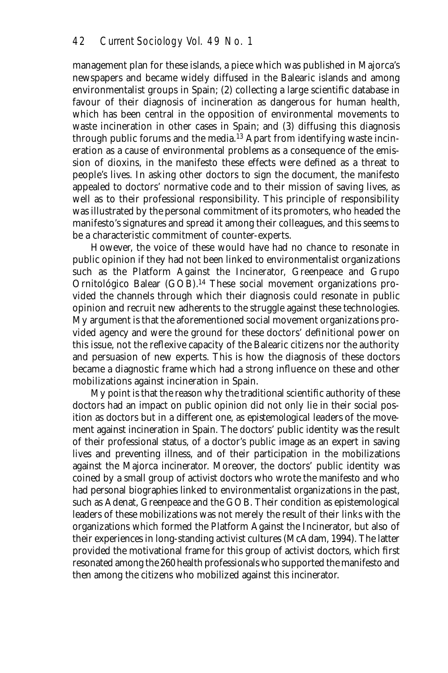management plan for these islands, a piece which was published in Majorca's newspapers and became widely diffused in the Balearic islands and among environmentalist groups in Spain; (2) collecting a large scientific database in favour of their diagnosis of incineration as dangerous for human health, which has been central in the opposition of environmental movements to waste incineration in other cases in Spain; and (3) diffusing this diagnosis through public forums and the media.13 Apart from identifying waste incineration as a cause of environmental problems as a consequence of the emission of dioxins, in the manifesto these effects were defined as a threat to people's lives. In asking other doctors to sign the document, the manifesto appealed to doctors' normative code and to their mission of saving lives, as well as to their professional responsibility. This principle of responsibility was illustrated by the personal commitment of its promoters, who headed the manifesto's signatures and spread it among their colleagues, and this seems to be a characteristic commitment of counter-experts.

However, the voice of these would have had no chance to resonate in public opinion if they had not been linked to environmentalist organizations such as the Platform Against the Incinerator, Greenpeace and Grupo Ornitológico Balear (GOB).14 These social movement organizations provided the channels through which their diagnosis could resonate in public opinion and recruit new adherents to the struggle against these technologies. My argument is that the aforementioned social movement organizations provided *agency* and were the ground for these doctors' definitional power on this issue, not the reflexive capacity of the Balearic citizens nor the authority and persuasion of new experts. This is how the diagnosis of these doctors became a diagnostic frame which had a strong influence on these and other mobilizations against incineration in Spain.

My point is that the reason why the traditional scientific authority of these doctors had an impact on public opinion did not only lie in their social position as doctors but in a different one, as *epistemological leaders* of the movement against incineration in Spain. The doctors' public identity was the result of their professional status, of a doctor's public image as an expert in saving lives and preventing illness, and of their participation in the mobilizations against the Majorca incinerator. Moreover, the doctors' public identity was coined by a small group of activist doctors who wrote the manifesto and who had personal biographies linked to environmentalist organizations in the past, such as Adenat, Greenpeace and the GOB. Their condition as epistemological leaders of these mobilizations was not merely the result of their links with the organizations which formed the Platform Against the Incinerator, but also of their experiences in long-standing activist cultures (McAdam, 1994). The latter provided the motivational frame for this group of activist doctors, which first resonated among the 260 health professionals who supported the manifesto and then among the citizens who mobilized against this incinerator.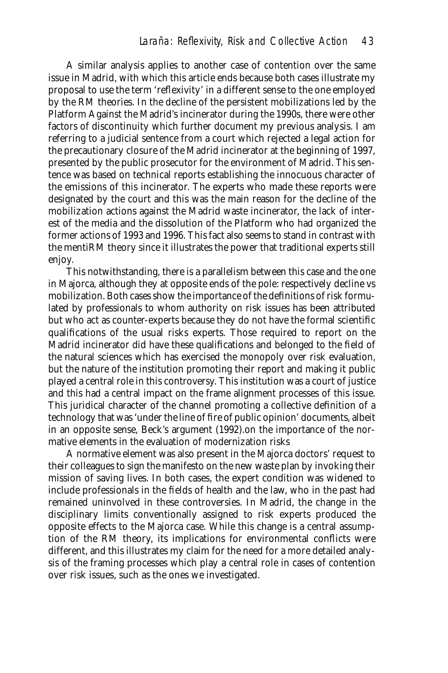A similar analysis applies to another case of contention over the same issue in Madrid, with which this article ends because both cases illustrate my proposal to use the term 'reflexivity' in a different sense to the one employed by the RM theories. In the decline of the persistent mobilizations led by the Platform Against the Madrid's incinerator during the 1990s, there were other factors of discontinuity which further document my previous analysis. I am referring to a judicial sentence from a court which rejected a legal action for the precautionary closure of the Madrid incinerator at the beginning of 1997, presented by the public prosecutor for the environment of Madrid. This sentence was based on technical reports establishing the innocuous character of the emissions of this incinerator. The experts who made these reports were designated by the court and this was the main reason for the decline of the mobilization actions against the Madrid waste incinerator, the lack of interest of the media and the dissolution of the Platform who had organized the former actions of 1993 and 1996. This fact also seems to stand in contrast with the mentiRM theory since it illustrates the power that traditional experts still enjoy.

This notwithstanding, there is a parallelism between this case and the one in Majorca, although they at opposite ends of the pole: respectively decline vs mobilization. Both cases show the importance of the definitions of risk formulated by professionals to whom authority on risk issues has been attributed but who act as counter-experts because they do not have the formal scientific qualifications of the usual risks experts. Those required to report on the Madrid incinerator did have these qualifications and belonged to the field of the natural sciences which has exercised the monopoly over risk evaluation, but the nature of the institution promoting their report and making it public played a central role in this controversy. This institution was a court of justice and this had a central impact on the frame alignment processes of this issue. This juridical character of the channel promoting a collective definition of a technology that was 'under the line of fire of public opinion' documents, albeit in an opposite sense, Beck's argument (1992).on the importance of the normative elements in the evaluation of modernization risks

A normative element was also present in the Majorca doctors' request to their colleagues to sign the manifesto on the new waste plan by invoking their mission of saving lives. In both cases, the expert condition was widened to include professionals in the fields of health and the law, who in the past had remained uninvolved in these controversies. In Madrid, the change in the disciplinary limits conventionally assigned to risk experts produced the opposite effects to the Majorca case. While this change is a central assumption of the RM theory, its implications for environmental conflicts were different, and this illustrates my claim for the need for a more detailed analysis of the framing processes which play a central role in cases of contention over risk issues, such as the ones we investigated.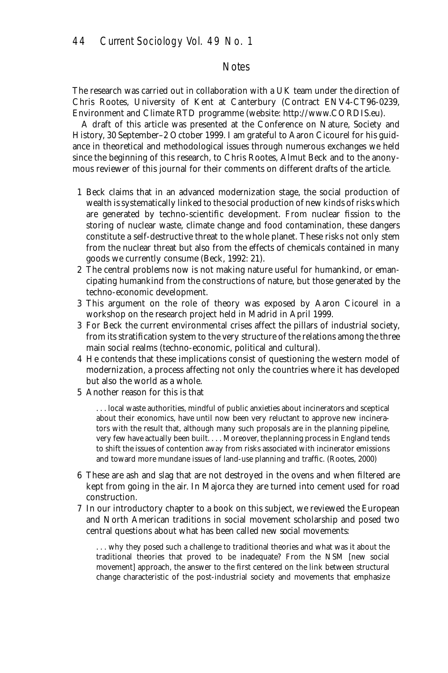#### **Notes**

The research was carried out in collaboration with a UK team under the direction of Chris Rootes, University of Kent at Canterbury (Contract ENV4-CT96-0239, Environment and Climate RTD programme (website: http://www.CORDIS.eu).

A draft of this article was presented at the Conference on Nature, Society and History, 30 September–2 October 1999. I am grateful to Aaron Cicourel for his guidance in theoretical and methodological issues through numerous exchanges we held since the beginning of this research, to Chris Rootes, Almut Beck and to the anonymous reviewer of this journal for their comments on different drafts of the article.

- 1 Beck claims that in an advanced modernization stage, the social production of wealth is systematically linked to the social production of new kinds of risks which are generated by techno-scientific development. From nuclear fission to the storing of nuclear waste, climate change and food contamination, these dangers constitute a self-destructive threat to the whole planet. These risks not only stem from the nuclear threat but also from the effects of chemicals contained in many goods we currently consume (Beck, 1992: 21).
- 2 The central problems now is not making nature useful for humankind, or emancipating humankind from the constructions of nature, but those generated by the techno-economic development.
- 3 This argument on the role of theory was exposed by Aaron Cicourel in a workshop on the research project held in Madrid in April 1999.
- 3 For Beck the current environmental crises affect the pillars of industrial society, from its stratification system to the very structure of the relations among the three main social realms (techno-economic, political and cultural).
- 4 He contends that these implications consist of questioning the western model of modernization, a process affecting not only the countries where it has developed but also the world as a whole.
- 5 Another reason for this is that

. . . local waste authorities, mindful of public anxieties about incinerators and sceptical about their economics, have until now been very reluctant to approve new incinerators with the result that, although many such proposals are in the planning pipeline, very few have actually been built. . . . Moreover, the planning process in England tends to shift the issues of contention away from risks associated with incinerator emissions and toward more mundane issues of land-use planning and traffic. (Rootes, 2000)

- 6 These are ash and slag that are not destroyed in the ovens and when filtered are kept from going in the air. In Majorca they are turned into cement used for road construction.
- 7 In our introductory chapter to a book on this subject, we reviewed the European and North American traditions in social movement scholarship and posed two central questions about what has been called *new social movements*:

. . . why they posed such a challenge to traditional theories and what was it about the traditional theories that proved to be inadequate? From the NSM [new social movement] approach, the answer to the first centered on the link between structural change characteristic of the post-industrial society and movements that emphasize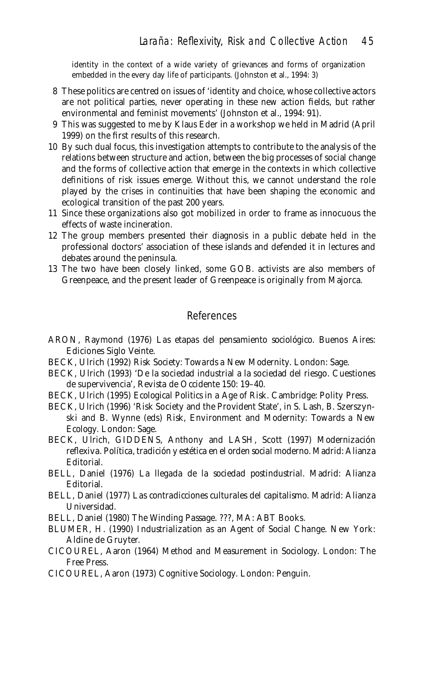identity in the context of a wide variety of grievances and forms of organization embedded in the every day life of participants. (Johnston et al., 1994: 3)

- 8 These politics are centred on issues of 'identity and choice, whose collective actors are not political parties, never operating in these new action fields, but rather environmental and feminist movements' (Johnston et al., 1994: 91).
- 9 This was suggested to me by Klaus Eder in a workshop we held in Madrid (April 1999) on the first results of this research.
- 10 By such dual focus, this investigation attempts to contribute to the analysis of the relations between structure and action, between the big processes of social change and the forms of collective action that emerge in the contexts in which collective definitions of risk issues emerge. Without this, we cannot understand the role played by the crises in continuities that have been shaping the economic and ecological transition of the past 200 years.
- 11 Since these organizations also got mobilized in order to frame as innocuous the effects of waste incineration.
- 12 The group members presented their diagnosis in a public debate held in the professional doctors' association of these islands and defended it in lectures and debates around the peninsula.
- 13 The two have been closely linked, some GOB. activists are also members of Greenpeace, and the present leader of Greenpeace is originally from Majorca.

## References

- ARON, Raymond (1976) *Las etapas del pensamiento sociológico*. Buenos Aires: Ediciones Siglo Veinte.
- BECK, Ulrich (1992) *Risk Society: Towards a New Modernity*. London: Sage.
- BECK, Ulrich (1993) *'*De la sociedad industrial a la sociedad del riesgo. Cuestiones de supervivencia', *Revista de Occidente* 150: 19–40.
- BECK, Ulrich (1995) *Ecological Politics in a Age of Risk.* Cambridge: Polity Press.
- BECK, Ulrich (1996) 'Risk Society and the Provident State', in S. Lash, B. Szerszynski and B. Wynne (eds) *Risk, Environment and Modernity: Towards a New Ecology*. London: Sage.
- BECK, Ulrich, GIDDENS, Anthony and LASH, Scott (1997) *Modernización reflexiva. Política, tradición y estética en el orden social moderno*. Madrid: Alianza Editorial.
- BELL, Daniel (1976) *La llegada de la sociedad postindustrial*. Madrid: Alianza Editorial.
- BELL, Daniel (1977) *Las contradicciones culturales del capitalismo*. Madrid: Alianza Universidad.
- BELL, Daniel (1980) *The Winding Passage*. ???, MA: ABT Books.
- BLUMER, H. (1990) *Industrialization as an Agent of Social Change*. New York: Aldine de Gruyter.
- CICOUREL, Aaron (1964) *Method and Measurement in Sociology.* London: The Free Press.
- CICOUREL, Aaron (1973) *Cognitive Sociology*. London: Penguin.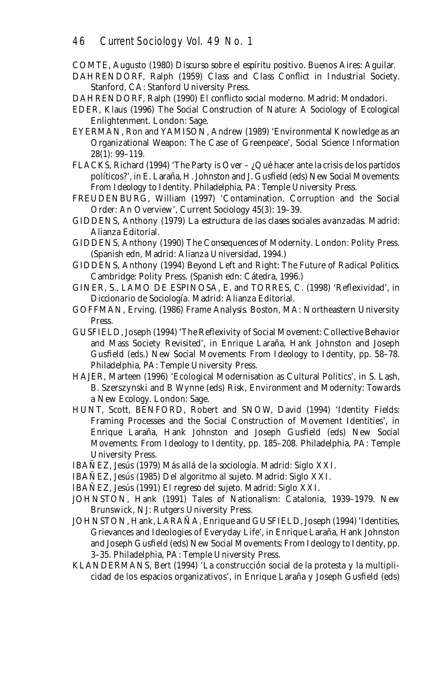COMTE, Augusto (1980) *Discurso sobre el espíritu positivo*. Buenos Aires: Aguilar.

- DAHRENDORF, Ralph (1959) *Class and Class Conflict in Industrial Society*. Stanford, CA: Stanford University Press.
- DAHRENDORF, Ralph (1990) *El conflicto social moderno.* Madrid: Mondadori.
- EDER, Klaus (1996) *The Social Construction of Nature: A Sociology of Ecological Enlightenment*. London: Sage.
- EYERMAN, Ron and YAMISON, Andrew (1989) *'*Environmental Knowledge as an Organizational Weapon: The Case of Greenpeace*'*, *Social Science Information* 28(1): 99–119.
- FLACKS, Richard (1994) 'The Party is Over ¿Qué hacer ante la crisis de los partidos políticos?', in E. Laraña, H. Johnston and J. Gusfield (eds) *New Social Movements: From Ideology to Identity*. Philadelphia, PA: Temple University Press.
- FREUDENBURG, William (1997) 'Contamination, Corruption and the Social Order: An Overview', *Current Sociology* 45(3): 19–39.
- GIDDENS, Anthony (1979) *La estructura de las clases sociales avanzadas*. Madrid: Alianza Editorial.
- GIDDENS, Anthony (1990) *The Consequences of Modernity*. London: Polity Press. (Spanish edn, Madrid: Alianza Universidad, 1994.)
- GIDDENS, Anthony (1994) *Beyond Left and Right: The Future of Radical Politics*. Cambridge: Polity Press. (Spanish edn: Cátedra, 1996.)
- GINER, S., LAMO DE ESPINOSA, E. and TORRES, C. (1998) 'Reflexividad', in *Diccionario de Sociología*. Madrid: Alianza Editorial.
- GOFFMAN, Erving. (1986) *Frame Analysis.* Boston, MA: Northeastern University Press.
- GUSFIELD, Joseph (1994) 'The Reflexivity of Social Movement: Collective Behavior and Mass Society Revisited', in Enrique Laraña, Hank Johnston and Joseph Gusfield (eds.) *New Social Movements: From Ideology to Identity*, pp. 58–78. Philadelphia, PA: Temple University Press.
- HAJER, Marteen (1996) 'Ecological Modernisation as Cultural Politics', in S. Lash, B. Szerszynski and B Wynne (eds) *Risk, Environment and Modernity: Towards a New Ecology*. London: Sage.
- HUNT, Scott, BENFORD, Robert and SNOW, David (1994) *'*Identity Fields: Framing Processes and the Social Construction of Movement Identities*'*, in Enrique Laraña, Hank Johnston and Joseph Gusfield (eds) *New Social Movements: From Ideology to Identity*, pp. 185–208. Philadelphia, PA: Temple University Press.
- IBAÑEZ, Jesús (1979) *Más allá de la sociología*. Madrid: Siglo XXI.
- IBAÑEZ, Jesús (1985) *Del algoritmo al sujeto*. Madrid: Siglo XXI.
- IBAÑEZ, Jesús (1991) *El regreso del sujeto.* Madrid: Siglo XXI.
- JOHNSTON, Hank (1991) *Tales of Nationalism: Catalonia, 1939–1979.* New Brunswick, NJ: Rutgers University Press.
- JOHNSTON, Hank, LARAÑA, Enrique and GUSFIELD, Joseph (1994) *'*Identities, Grievances and Ideologies of Everyday Life*'*, in Enrique Laraña, Hank Johnston and Joseph Gusfield (eds) *New Social Movements: From Ideology to Identity*, pp. 3–35. Philadelphia, PA: Temple University Press.
- KLANDERMANS, Bert (1994) 'La construcción social de la protesta y la multiplicidad de los espacios organizativos', in Enrique Laraña y Joseph Gusfield (eds)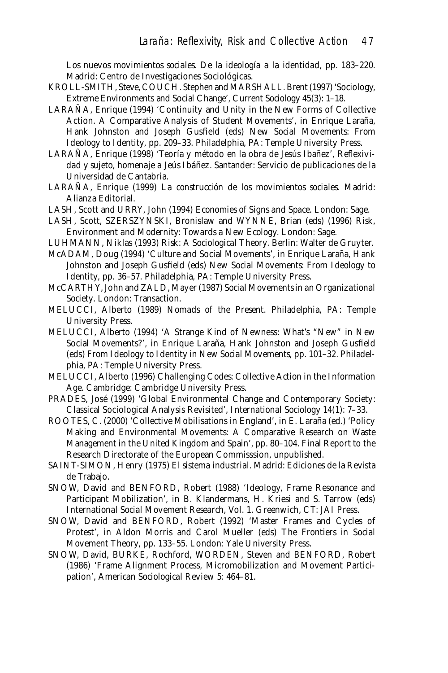*Los nuevos movimientos sociales. De la ideología a la identidad*, pp. 183–220. Madrid: Centro de Investigaciones Sociológicas.

- KROLL-SMITH, Steve, COUCH. Stephen and MARSHALL. Brent (1997) 'Sociology, Extreme Environments and Social Change', *Current Sociology* 45(3): 1–18.
- LARAÑA, Enrique (1994) 'Continuity and Unity in the New Forms of Collective Action. A Comparative Analysis of Student Movements', in Enrique Laraña, Hank Johnston and Joseph Gusfield (eds) *New Social Movements: From Ideology to Identity*, pp. 209–33. Philadelphia, PA: Temple University Press.
- LARAÑA, Enrique (1998) 'Teoría y método en la obra de Jesús Ibañez', *Reflexividad y sujeto*, *homenaje a Jeús Ibáñez*. Santander: Servicio de publicaciones de la Universidad de Cantabria.
- LARAÑA, Enrique (1999) *La construcción de los movimientos sociales.* Madrid: Alianza Editorial.
- LASH, Scott and URRY, John (1994) *Economies of Signs and Space.* London: Sage.
- LASH, Scott, SZERSZYNSKI, Bronislaw and WYNNE, Brian (eds) (1996) *Risk, Environment and Modernity: Towards a New Ecology.* London: Sage.
- LUHMANN, Niklas (1993) *Risk: A Sociological Theory*. Berlin: Walter de Gruyter.
- McADAM, Doug (1994) 'Culture and Social Movements', in Enrique Laraña, Hank Johnston and Joseph Gusfield (eds) *New Social Movements: From Ideology to Identity*, pp. 36–57. Philadelphia, PA: Temple University Press.
- McCARTHY, John and ZALD, Mayer (1987) *Social Movements in an Organizational Society*. London: Transaction.
- MELUCCI, Alberto (1989) *Nomads of the Present*. Philadelphia, PA: Temple University Press.
- MELUCCI, Alberto (1994) 'A Strange Kind of Newness: What's "New" in New Social Movements?', in Enrique Laraña, Hank Johnston and Joseph Gusfield (eds) *From Ideology to Identity in New Social Movements*, pp. 101–32. Philadelphia, PA: Temple University Press.
- MELUCCI, Alberto (1996) *Challenging Codes: Collective Action in the Information Age.* Cambridge: Cambridge University Press.
- PRADES, José (1999) 'Global Environmental Change and Contemporary Society: Classical Sociological Analysis Revisited', *International Sociology* 14(1): 7–33.
- ROOTES, C. (2000) 'Collective Mobilisations in England', in E. Laraña (ed.) 'Policy Making and Environmental Movements: A Comparative Research on Waste Management in the United Kingdom and Spain', pp. 80–104. Final Report to the Research Directorate of the European Commisssion, unpublished.
- SAINT-SIMON, Henry (1975) *El sistema industrial*. Madrid: Ediciones de la Revista de Trabajo.
- SNOW, David and BENFORD, Robert (1988) 'Ideology, Frame Resonance and Participant Mobilization*'*, in B. Klandermans, H. Kriesi and S. Tarrow (eds) *International Social Movement Research*, Vol. 1. Greenwich, CT: JAI Press.
- SNOW, David and BENFORD, Robert (1992) *'*Master Frames and Cycles of Protest*'*, in Aldon Morris and Carol Mueller (eds) *The Frontiers in Social Movement Theory*, pp. 133–55. London: Yale University Press.
- SNOW, David, BURKE, Rochford, WORDEN, Steven and BENFORD, Robert (1986) 'Frame Alignment Process, Micromobilization and Movement Participation'*, American Sociological Review* 5: 464–81.